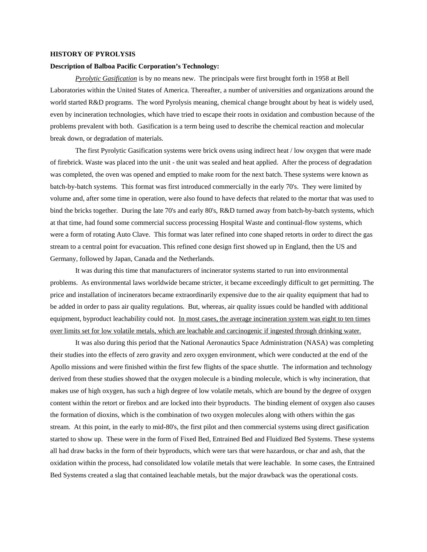## **HISTORY OF PYROLYSIS**

## **Description of Balboa Pacific Corporation's Technology:**

*Pyrolytic Gasification* is by no means new. The principals were first brought forth in 1958 at Bell Laboratories within the United States of America. Thereafter, a number of universities and organizations around the world started R&D programs. The word Pyrolysis meaning, chemical change brought about by heat is widely used, even by incineration technologies, which have tried to escape their roots in oxidation and combustion because of the problems prevalent with both. Gasification is a term being used to describe the chemical reaction and molecular break down, or degradation of materials.

The first Pyrolytic Gasification systems were brick ovens using indirect heat / low oxygen that were made of firebrick. Waste was placed into the unit - the unit was sealed and heat applied. After the process of degradation was completed, the oven was opened and emptied to make room for the next batch. These systems were known as batch-by-batch systems. This format was first introduced commercially in the early 70's. They were limited by volume and, after some time in operation, were also found to have defects that related to the mortar that was used to bind the bricks together. During the late 70's and early 80's, R&D turned away from batch-by-batch systems, which at that time, had found some commercial success processing Hospital Waste and continual-flow systems, which were a form of rotating Auto Clave. This format was later refined into cone shaped retorts in order to direct the gas stream to a central point for evacuation. This refined cone design first showed up in England, then the US and Germany, followed by Japan, Canada and the Netherlands.

It was during this time that manufacturers of incinerator systems started to run into environmental problems. As environmental laws worldwide became stricter, it became exceedingly difficult to get permitting. The price and installation of incinerators became extraordinarily expensive due to the air quality equipment that had to be added in order to pass air quality regulations. But, whereas, air quality issues could be handled with additional equipment, byproduct leachability could not. In most cases, the average incineration system was eight to ten times over limits set for low volatile metals, which are leachable and carcinogenic if ingested through drinking water.

It was also during this period that the National Aeronautics Space Administration (NASA) was completing their studies into the effects of zero gravity and zero oxygen environment, which were conducted at the end of the Apollo missions and were finished within the first few flights of the space shuttle. The information and technology derived from these studies showed that the oxygen molecule is a binding molecule, which is why incineration, that makes use of high oxygen, has such a high degree of low volatile metals, which are bound by the degree of oxygen content within the retort or firebox and are locked into their byproducts. The binding element of oxygen also causes the formation of dioxins, which is the combination of two oxygen molecules along with others within the gas stream. At this point, in the early to mid-80's, the first pilot and then commercial systems using direct gasification started to show up. These were in the form of Fixed Bed, Entrained Bed and Fluidized Bed Systems. These systems all had draw backs in the form of their byproducts, which were tars that were hazardous, or char and ash, that the oxidation within the process, had consolidated low volatile metals that were leachable. In some cases, the Entrained Bed Systems created a slag that contained leachable metals, but the major drawback was the operational costs.